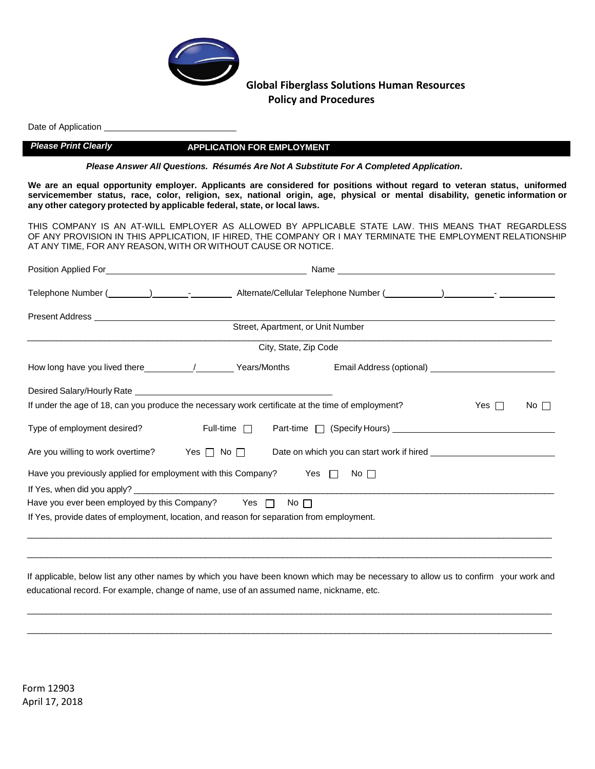

Date of Application

### *Please Print Clearly* **APPLICATION FOR EMPLOYMENT**

*Please Answer All Questions. Résumés Are Not A Substitute For A Completed Application***.**

We are an equal opportunity employer. Applicants are considered for positions without regard to veteran status, uniformed servicemember status, race, color, religion, sex, national origin, age, physical or mental disability, genetic information or **any other category protected by applicable federal, state, or local laws.**

THIS COMPANY IS AN AT-WILL EMPLOYER AS ALLOWED BY APPLICABLE STATE LAW. THIS MEANS THAT REGARDLESS OF ANY PROVISION IN THIS APPLICATION, IF HIRED, THE COMPANY OR I MAY TERMINATE THE EMPLOYMENT RELATIONSHIP AT ANY TIME, FOR ANY REASON, WITH OR WITHOUT CAUSE OR NOTICE.

| Telephone Number (________)______________________Alternate/Cellular Telephone Number (_________)______________- |                       |                                                                                                                                                                                                                                      |            |           |
|-----------------------------------------------------------------------------------------------------------------|-----------------------|--------------------------------------------------------------------------------------------------------------------------------------------------------------------------------------------------------------------------------------|------------|-----------|
|                                                                                                                 |                       |                                                                                                                                                                                                                                      |            |           |
|                                                                                                                 |                       |                                                                                                                                                                                                                                      |            |           |
|                                                                                                                 | City, State, Zip Code |                                                                                                                                                                                                                                      |            |           |
|                                                                                                                 |                       |                                                                                                                                                                                                                                      |            |           |
|                                                                                                                 |                       |                                                                                                                                                                                                                                      |            |           |
| If under the age of 18, can you produce the necessary work certificate at the time of employment?               |                       |                                                                                                                                                                                                                                      | Yes $\Box$ | No $\Box$ |
| Type of employment desired?                                                                                     |                       |                                                                                                                                                                                                                                      |            |           |
| Are you willing to work overtime? Yes $\Box$ No $\Box$                                                          |                       | Date on which you can start work if hired <b>container the start of the start of the start of the start of the start of the start of the start of the start of the start of the start of the start of the start of the start of </b> |            |           |
| Have you previously applied for employment with this Company?                                                   |                       | $\blacksquare$ Yes $\blacksquare$ No $\blacksquare$                                                                                                                                                                                  |            |           |
|                                                                                                                 |                       |                                                                                                                                                                                                                                      |            |           |
| Have you ever been employed by this Company? Yes Mo D                                                           |                       |                                                                                                                                                                                                                                      |            |           |
| If Yes, provide dates of employment, location, and reason for separation from employment.                       |                       |                                                                                                                                                                                                                                      |            |           |
|                                                                                                                 |                       |                                                                                                                                                                                                                                      |            |           |
|                                                                                                                 |                       |                                                                                                                                                                                                                                      |            |           |
|                                                                                                                 |                       |                                                                                                                                                                                                                                      |            |           |

 If applicable, below list any other names by which you have been known which may be necessary to allow us to confirm your work and educational record. For example, change of name, use of an assumed name, nickname, etc.

\_\_\_\_\_\_\_\_\_\_\_\_\_\_\_\_\_\_\_\_\_\_\_\_\_\_\_\_\_\_\_\_\_\_\_\_\_\_\_\_\_\_\_\_\_\_\_\_\_\_\_\_\_\_\_\_\_\_\_\_\_\_\_\_\_\_\_\_\_\_\_\_\_\_\_\_\_\_\_\_\_\_\_\_\_\_\_\_\_\_\_\_\_\_\_\_\_\_\_\_\_\_\_\_\_\_\_\_\_

\_\_\_\_\_\_\_\_\_\_\_\_\_\_\_\_\_\_\_\_\_\_\_\_\_\_\_\_\_\_\_\_\_\_\_\_\_\_\_\_\_\_\_\_\_\_\_\_\_\_\_\_\_\_\_\_\_\_\_\_\_\_\_\_\_\_\_\_\_\_\_\_\_\_\_\_\_\_\_\_\_\_\_\_\_\_\_\_\_\_\_\_\_\_\_\_\_\_\_\_\_\_\_\_\_\_\_\_\_

Form 12903 April 17, 2018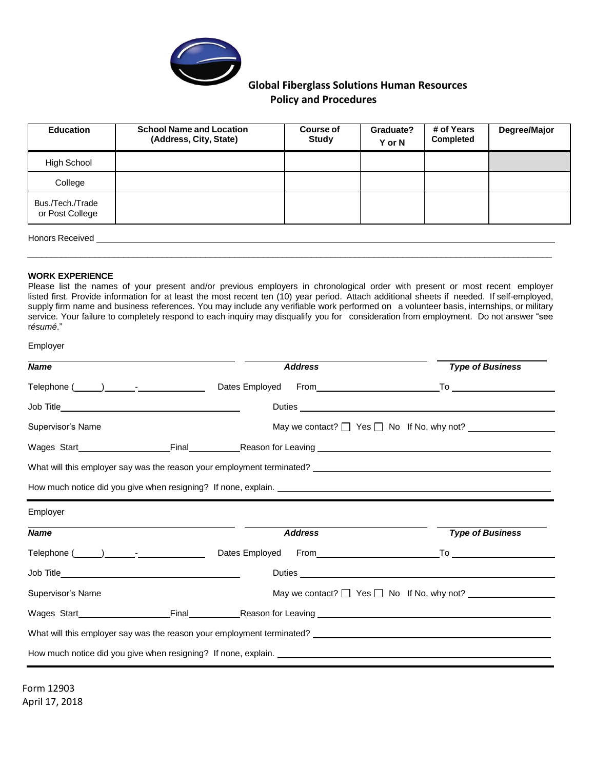

| <b>Education</b>                    | <b>School Name and Location</b><br>(Address, City, State) | <b>Course of</b><br><b>Study</b> | Graduate?<br>Y or N | # of Years<br><b>Completed</b> | Degree/Major |
|-------------------------------------|-----------------------------------------------------------|----------------------------------|---------------------|--------------------------------|--------------|
| High School                         |                                                           |                                  |                     |                                |              |
| College                             |                                                           |                                  |                     |                                |              |
| Bus./Tech./Trade<br>or Post College |                                                           |                                  |                     |                                |              |
|                                     |                                                           |                                  |                     |                                |              |

Honors Received \_\_

### **WORK EXPERIENCE**

Please list the names of your present and/or previous employers in chronological order with present or most recent employer listed first. Provide information for at least the most recent ten (10) year period. Attach additional sheets if needed. If self-employed, supply firm name and business references. You may include any verifiable work performed on a volunteer basis, internships, or military service. Your failure to completely respond to each inquiry may disqualify you for consideration from employment. Do not answer "see r*ésumé*."

\_\_\_\_\_\_\_\_\_\_\_\_\_\_\_\_\_\_\_\_\_\_\_\_\_\_\_\_\_\_\_\_\_\_\_\_\_\_\_\_\_\_\_\_\_\_\_\_\_\_\_\_\_\_\_\_\_\_\_\_\_\_\_\_\_\_\_\_\_\_\_\_\_\_\_\_\_\_\_\_\_\_\_\_\_\_\_\_\_\_\_\_\_\_\_\_\_\_\_\_\_\_\_\_\_\_\_\_\_

| Employer                                                                                                       |  |                |                                                                                                                                                                                                                                |
|----------------------------------------------------------------------------------------------------------------|--|----------------|--------------------------------------------------------------------------------------------------------------------------------------------------------------------------------------------------------------------------------|
| <b>Name</b>                                                                                                    |  | <b>Address</b> | <b>Type of Business</b>                                                                                                                                                                                                        |
|                                                                                                                |  |                |                                                                                                                                                                                                                                |
|                                                                                                                |  |                |                                                                                                                                                                                                                                |
| Supervisor's Name                                                                                              |  |                | May we contact? $\Box$ Yes $\Box$ No If No, why not? $\Box$                                                                                                                                                                    |
|                                                                                                                |  |                |                                                                                                                                                                                                                                |
|                                                                                                                |  |                | What will this employer say was the reason your employment terminated? Letterman and the state of the state of                                                                                                                 |
|                                                                                                                |  |                |                                                                                                                                                                                                                                |
| Employer                                                                                                       |  |                |                                                                                                                                                                                                                                |
| <b>Name</b>                                                                                                    |  | <b>Address</b> | <b>Type of Business</b>                                                                                                                                                                                                        |
| Telephone (Champion Communication Championer Championer Championer Championer Championer Championer Championer |  |                | To the contract of the contract of the contract of the contract of the contract of the contract of the contract of the contract of the contract of the contract of the contract of the contract of the contract of the contrac |
|                                                                                                                |  |                | Duties                                                                                                                                                                                                                         |
| Supervisor's Name                                                                                              |  |                | May we contact? $\Box$ Yes $\Box$ No If No, why not?                                                                                                                                                                           |
|                                                                                                                |  |                |                                                                                                                                                                                                                                |
|                                                                                                                |  |                |                                                                                                                                                                                                                                |
|                                                                                                                |  |                |                                                                                                                                                                                                                                |
|                                                                                                                |  |                |                                                                                                                                                                                                                                |

Form 12903 April 17, 2018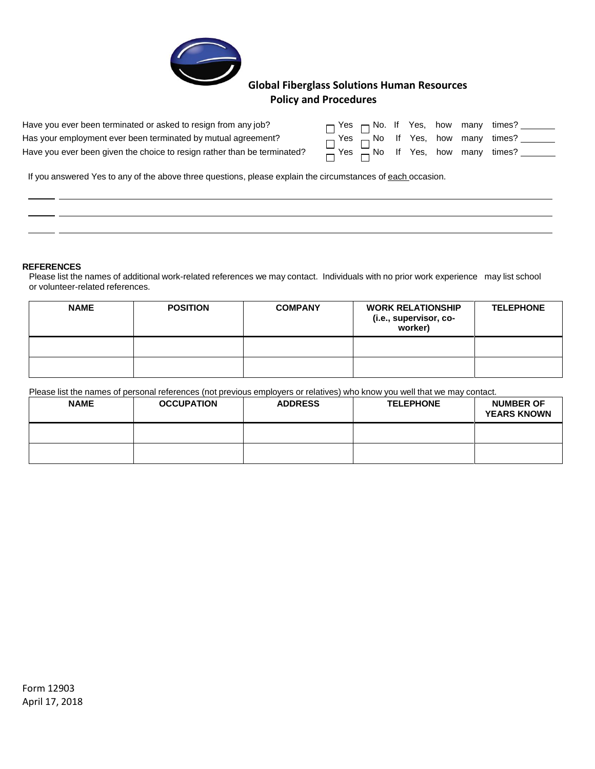

| Have you ever been terminated or asked to resign from any job?           |                                              |  |  | $\Box$ Yes $\Box$ No. If Yes, how many times?                                    |
|--------------------------------------------------------------------------|----------------------------------------------|--|--|----------------------------------------------------------------------------------|
| Has your employment ever been terminated by mutual agreement?            |                                              |  |  | $\overline{\phantom{a}}$ Yes $\overline{\phantom{a}}$ No If Yes, how many times? |
| Have you ever been given the choice to resign rather than be terminated? | $\Box$ Yes $\Box$ No If Yes, how many times? |  |  |                                                                                  |

If you answered Yes to any of the above three questions, please explain the circumstances of each occasion.

#### **REFERENCES**

- - $-$ 

Please list the names of additional work-related references we may contact. Individuals with no prior work experience may list school or volunteer-related references.

| <b>NAME</b> | <b>POSITION</b> | <b>COMPANY</b> | <b>WORK RELATIONSHIP</b><br>(i.e., supervisor, co-<br>worker) | <b>TELEPHONE</b> |
|-------------|-----------------|----------------|---------------------------------------------------------------|------------------|
|             |                 |                |                                                               |                  |
|             |                 |                |                                                               |                  |

Please list the names of personal references (not previous employers or relatives) who know you well that we may contact.

| <b>NAME</b> | <b>OCCUPATION</b> | <b>ADDRESS</b> | <b>TELEPHONE</b> | <b>NUMBER OF</b><br><b>YEARS KNOWN</b> |
|-------------|-------------------|----------------|------------------|----------------------------------------|
|             |                   |                |                  |                                        |
|             |                   |                |                  |                                        |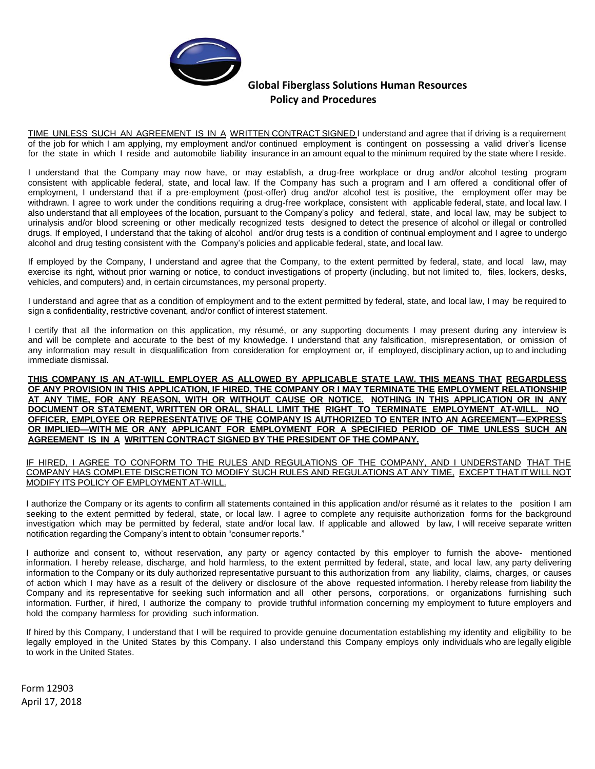

TIME UNLESS SUCH AN AGREEMENT IS IN A WRITTEN CONTRACT SIGNED I understand and agree that if driving is a requirement of the job for which I am applying, my employment and/or continued employment is contingent on possessing a valid driver's license for the state in which I reside and automobile liability insurance in an amount equal to the minimum required by the state where I reside.

I understand that the Company may now have, or may establish, a drug-free workplace or drug and/or alcohol testing program consistent with applicable federal, state, and local law. If the Company has such a program and I am offered a conditional offer of employment, I understand that if a pre-employment (post-offer) drug and/or alcohol test is positive, the employment offer may be withdrawn. I agree to work under the conditions requiring a drug-free workplace, consistent with applicable federal, state, and local law. I also understand that all employees of the location, pursuant to the Company's policy and federal, state, and local law, may be subject to urinalysis and/or blood screening or other medically recognized tests designed to detect the presence of alcohol or illegal or controlled drugs. If employed, I understand that the taking of alcohol and/or drug tests is a condition of continual employment and I agree to undergo alcohol and drug testing consistent with the Company's policies and applicable federal, state, and local law.

If employed by the Company, I understand and agree that the Company, to the extent permitted by federal, state, and local law, may exercise its right, without prior warning or notice, to conduct investigations of property (including, but not limited to, files, lockers, desks, vehicles, and computers) and, in certain circumstances, my personal property.

I understand and agree that as a condition of employment and to the extent permitted by federal, state, and local law, I may be required to sign a confidentiality, restrictive covenant, and/or conflict of interest statement.

I certify that all the information on this application, my résumé, or any supporting documents I may present during any interview is and will be complete and accurate to the best of my knowledge. I understand that any falsification, misrepresentation, or omission of any information may result in disqualification from consideration for employment or, if employed, disciplinary action, up to and including immediate dismissal.

**THIS COMPANY IS AN AT-WILL EMPLOYER AS ALLOWED BY APPLICABLE STATE LAW. THIS MEANS THAT REGARDLESS** OF ANY PROVISION IN THIS APPLICATION. IF HIRED. THE COMPANY OR I MAY TERMINATE THE EMPLOYMENT RELATIONSHIP AT ANY TIME, FOR ANY REASON, WITH OR WITHOUT CAUSE OR NOTICE. NOTHING IN THIS APPLICATION OR IN ANY **DOCUMENT OR STATEMENT, WRITTEN OR ORAL, SHALL LIMIT THE RIGHT TO TERMINATE EMPLOYMENT AT-WILL. NO OFFICER, EMPLOYEE OR REPRESENTATIVE OF THE COMPANY IS AUTHORIZED TO ENTER INTO AN AGREEMENT—EXPRESS OR IMPLIED—WITH ME OR ANY APPLICANT FOR EMPLOYMENT FOR A SPECIFIED PERIOD OF TIME UNLESS SUCH AN AGREEMENT IS IN A WRITTEN CONTRACT SIGNED BY THE PRESIDENT OF THE COMPANY.**

IF HIRED, I AGREE TO CONFORM TO THE RULES AND REGULATIONS OF THE COMPANY, AND I UNDERSTAND THAT THE COMPANY HAS COMPLETE DISCRETION TO MODIFY SUCH RULES AND REGULATIONS AT ANY TIME, EXCEPT THAT ITWILL NOT MODIFY ITS POLICY OF EMPLOYMENT AT-WILL.

I authorize the Company or its agents to confirm all statements contained in this application and/or résumé as it relates to the position I am seeking to the extent permitted by federal, state, or local law. I agree to complete any requisite authorization forms for the background investigation which may be permitted by federal, state and/or local law. If applicable and allowed by law, I will receive separate written notification regarding the Company's intent to obtain "consumer reports."

I authorize and consent to, without reservation, any party or agency contacted by this employer to furnish the above- mentioned information. I hereby release, discharge, and hold harmless, to the extent permitted by federal, state, and local law, any party delivering information to the Company or its duly authorized representative pursuant to this authorization from any liability, claims, charges, or causes of action which I may have as a result of the delivery or disclosure of the above requested information. I hereby release from liability the Company and its representative for seeking such information and all other persons, corporations, or organizations furnishing such information. Further, if hired, I authorize the company to provide truthful information concerning my employment to future employers and hold the company harmless for providing such information.

If hired by this Company, I understand that I will be required to provide genuine documentation establishing my identity and eligibility to be legally employed in the United States by this Company. I also understand this Company employs only individuals who are legally eligible to work in the United States.

Form 12903 April 17, 2018